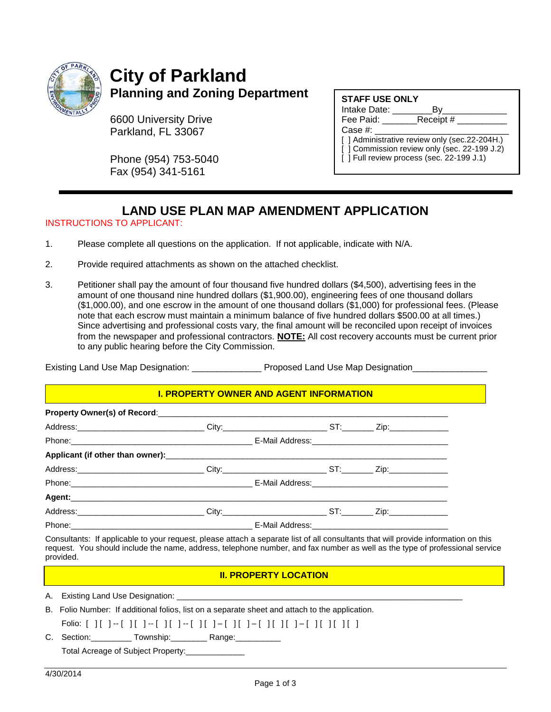

# **City of Parkland Planning and Zoning Department**

6600 University Drive Parkland, FL 33067

Phone (954) 753-5040 Fax (954) 341-5161

| <b>STAFF USE ONLY</b> |  |  |
|-----------------------|--|--|
|                       |  |  |

| Intake Date: |  |  |
|--------------|--|--|
|--------------|--|--|

Fee Paid: Receipt #

Case #:

[ ] Administrative review only (sec.22-204H.) [ ] Commission review only (sec. 22-199 J.2) [ ] Full review process (sec. 22-199 J.1)

# **LAND USE PLAN MAP AMENDMENT APPLICATION**

### INSTRUCTIONS TO APPLICANT:

- 1. Please complete all questions on the application. If not applicable, indicate with N/A.
- 2. Provide required attachments as shown on the attached checklist.
- 3. Petitioner shall pay the amount of four thousand five hundred dollars (\$4,500), advertising fees in the amount of one thousand nine hundred dollars (\$1,900.00), engineering fees of one thousand dollars (\$1,000.00), and one escrow in the amount of one thousand dollars (\$1,000) for professional fees. (Please note that each escrow must maintain a minimum balance of five hundred dollars \$500.00 at all times.) Since advertising and professional costs vary, the final amount will be reconciled upon receipt of invoices from the newspaper and professional contractors. **NOTE:** All cost recovery accounts must be current prior to any public hearing before the City Commission.

| Existing Land Use Map Designation: | Proposed Land Use Map Designation |
|------------------------------------|-----------------------------------|
|                                    |                                   |

#### **I. PROPERTY OWNER AND AGENT INFORMATION**

| Address:_____________________________City:________________________ST:_________Zip:_________________ |  |  |
|-----------------------------------------------------------------------------------------------------|--|--|
|                                                                                                     |  |  |
|                                                                                                     |  |  |
|                                                                                                     |  |  |
|                                                                                                     |  |  |
|                                                                                                     |  |  |
|                                                                                                     |  |  |
|                                                                                                     |  |  |

Consultants: If applicable to your request, please attach a separate list of all consultants that will provide information on this request. You should include the name, address, telephone number, and fax number as well as the type of professional service provided.

#### **II. PROPERTY LOCATION**

A. Existing Land Use Designation:

B. Folio Number: If additional folios, list on a separate sheet and attach to the application.

Folio: [ ] [ ] -- [ ] [ ] -- [ ] [ ] -- [ ] [ ] – [ ] [ ] – [ ] [ ] [ ] – [ ] [ ] [ ] [ ]

C. Section: \_\_\_\_\_\_\_\_\_ Township: \_\_\_\_\_\_\_\_ Range: \_\_\_\_\_\_\_\_\_

Total Acreage of Subject Property:\_\_\_\_\_\_\_\_\_\_\_\_\_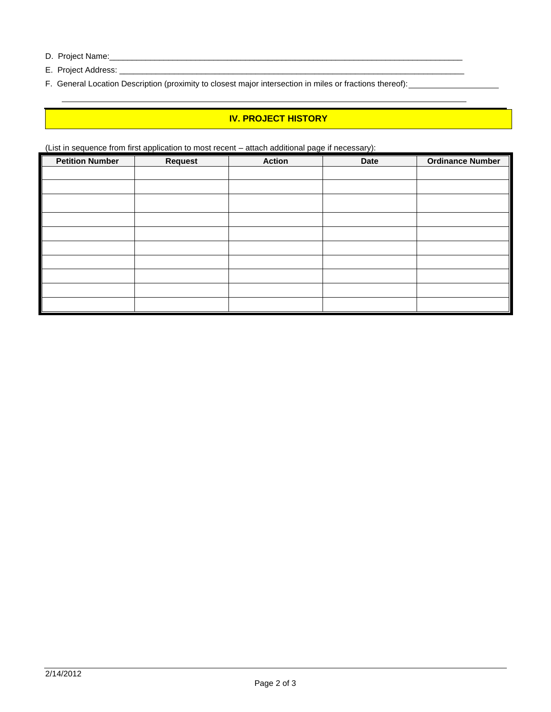- D. Project Name:\_\_\_\_\_\_\_\_\_\_\_\_\_\_\_\_\_\_\_\_\_\_\_\_\_\_\_\_\_\_\_\_\_\_\_\_\_\_\_\_\_\_\_\_\_\_\_\_\_\_\_\_\_\_\_\_\_\_\_\_\_\_\_\_\_\_\_\_\_\_\_\_\_\_\_\_\_\_
- E. Project Address: \_\_\_\_\_\_\_\_\_\_\_\_\_\_\_\_\_\_\_\_\_\_\_\_\_\_\_\_\_\_\_\_\_\_\_\_\_\_\_\_\_\_\_\_\_\_\_\_\_\_\_\_\_\_\_\_\_\_\_\_\_\_\_\_\_\_\_\_\_\_\_\_\_\_\_\_
- F. General Location Description (proximity to closest major intersection in miles or fractions thereof):

## **IV. PROJECT HISTORY**

(List in sequence from first application to most recent – attach additional page if necessary):

| <b>Petition Number</b> | <b>Request</b> | <b>Action</b> | <b>Date</b> | <b>Ordinance Number</b> |
|------------------------|----------------|---------------|-------------|-------------------------|
|                        |                |               |             |                         |
|                        |                |               |             |                         |
|                        |                |               |             |                         |
|                        |                |               |             |                         |
|                        |                |               |             |                         |
|                        |                |               |             |                         |
|                        |                |               |             |                         |
|                        |                |               |             |                         |
|                        |                |               |             |                         |
|                        |                |               |             |                         |